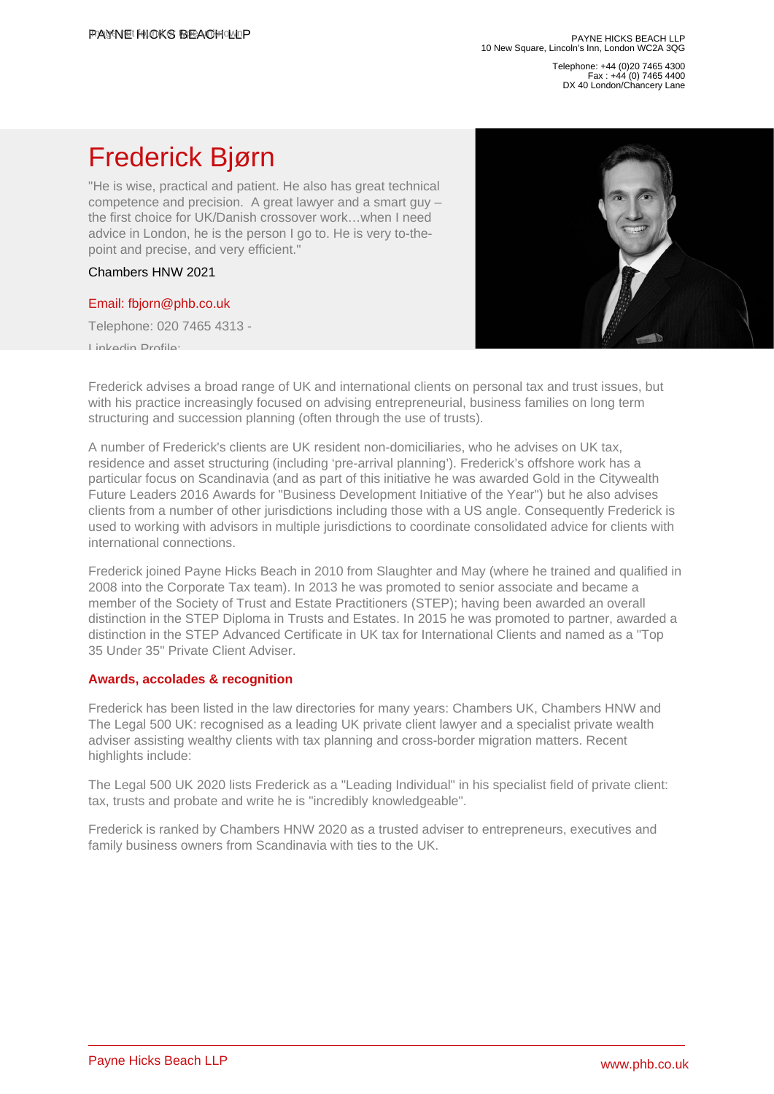Telephone: +44 (0)20 7465 4300 Fax : +44 (0) 7465 4400 DX 40 London/Chancery Lane

# Frederick Bjørn

"He is wise, practical and patient. He also has great technical competence and precision. A great lawyer and a smart guy – the first choice for UK/Danish crossover work…when I need advice in London, he is the person I go to. He is very to-thepoint and precise, and very efficient."

Chambers HNW 2021

# [Email: fbjorn@phb.co.uk](�� m a i l t o : f b j o r n @ p h b . c o . u k)

Telephone: 020 7465 4313 -

Linkedin Profile:

Frederick advises a broad range of UK and international clients on personal tax and trust issues, but with his practice increasingly focused on advising entrepreneurial, business families on long term structuring and succession planning (often through the use of trusts).

A number of Frederick's clients are UK resident non-domiciliaries, who he advises on UK tax, residence and asset structuring (including 'pre-arrival planning'). Frederick's offshore work has a particular focus on Scandinavia (and as part of this initiative he was awarded Gold in the Citywealth Future Leaders 2016 Awards for "Business Development Initiative of the Year") but he also advises clients from a number of other jurisdictions including those with a US angle. Consequently Frederick is used to working with advisors in multiple jurisdictions to coordinate consolidated advice for clients with international connections.

Frederick joined Payne Hicks Beach in 2010 from Slaughter and May (where he trained and qualified in 2008 into the Corporate Tax team). In 2013 he was promoted to senior associate and became a member of the Society of Trust and Estate Practitioners (STEP); having been awarded an overall distinction in the STEP Diploma in Trusts and Estates. In 2015 he was promoted to partner, awarded a distinction in the STEP Advanced Certificate in UK tax for International Clients and named as a "Top 35 Under 35" Private Client Adviser.

# Awards, accolades & recognition

Frederick has been listed in the law directories for many years: Chambers UK, Chambers HNW and The Legal 500 UK: recognised as a leading UK private client lawyer and a specialist private wealth adviser assisting wealthy clients with tax planning and cross-border migration matters. Recent highlights include:

The Legal 500 UK 2020 lists Frederick as a "Leading Individual" in his specialist field of private client: tax, trusts and probate and write he is "incredibly knowledgeable".

Frederick is ranked by Chambers HNW 2020 as a trusted adviser to entrepreneurs, executives and family business owners from Scandinavia with ties to the UK.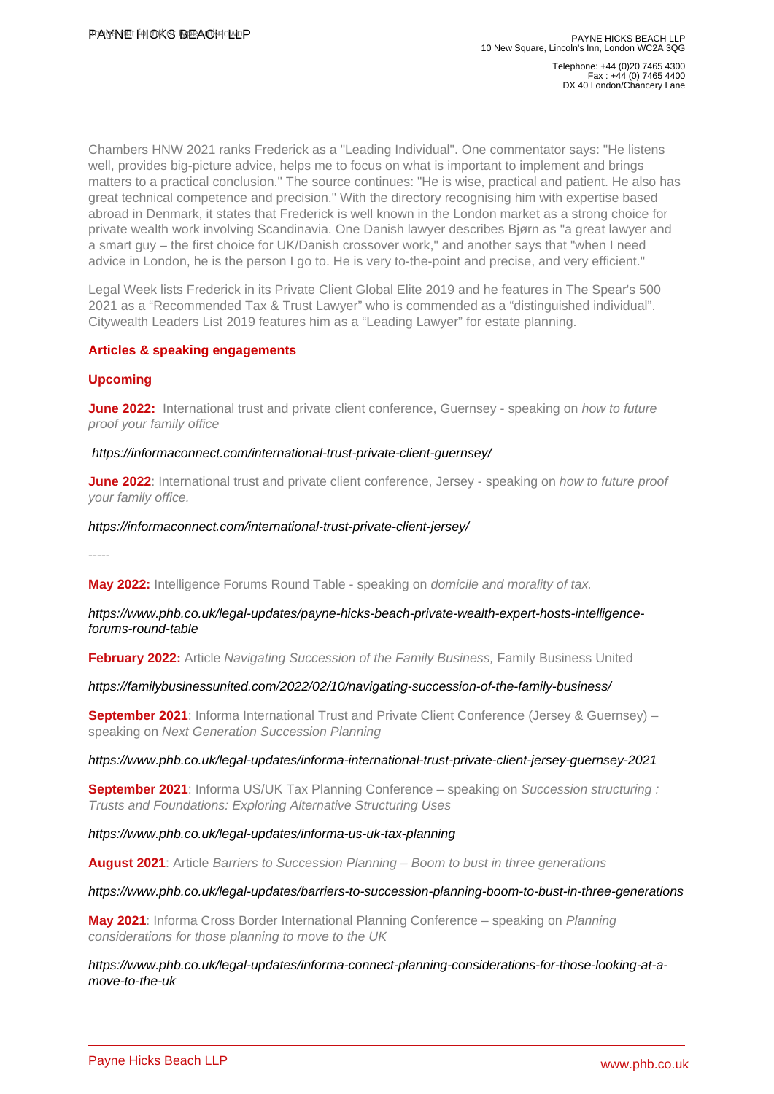Telephone: +44 (0)20 7465 4300 Fax : +44 (0) 7465 4400 DX 40 London/Chancery Lane

Chambers HNW 2021 ranks Frederick as a "Leading Individual". One commentator says: "He listens well, provides big-picture advice, helps me to focus on what is important to implement and brings matters to a practical conclusion." The source continues: "He is wise, practical and patient. He also has great technical competence and precision." With the directory recognising him with expertise based abroad in Denmark, it states that Frederick is well known in the London market as a strong choice for private wealth work involving Scandinavia. One Danish lawyer describes Bjørn as "a great lawyer and a smart guy – the first choice for UK/Danish crossover work," and another says that "when I need advice in London, he is the person I go to. He is very to-the-point and precise, and very efficient."

Legal Week lists Frederick in its Private Client Global Elite 2019 and he features in The Spear's 500 2021 as a "Recommended Tax & Trust Lawyer" who is commended as a "distinguished individual". Citywealth Leaders List 2019 features him as a "Leading Lawyer" for estate planning.

# Articles & speaking engagements

# Upcoming

June 2022: International trust and private client conference, Guernsey - speaking on how to future proof your family office

#### [https://informaconnect.com/international-trust-private-client-guernsey/](�� h t t p : / / o 	 h t t p s : / / i n f o r m a c o n n e c t . c o m / i n t e r n a t i o n a l - t r u s t - p r i v a t e - c l i e n t - g u e r n s e y /)

June 2022: International trust and private client conference, Jersey - speaking on how to future proof your family office.

#### [https://informaconnect.com/international-trust-private-client-jersey/](�� h t t p : / / o 	 h t t p s : / / i n f o r m a c o n n e c t . c o m / i n t e r n a t i o n a l - t r u s t - p r i v a t e - c l i e n t - j e r s e y /)

-----

May 2022: Intelligence Forums Round Table - speaking on domicile and morality of tax.

# [https://www.phb.co.uk/legal-updates/payne-hicks-beach-private-wealth-expert-hosts-intelligence](�� h t t p s : / / w w w . p h b . c o . u k / l e g a l - u p d a t e s / p a y n e - h i c k s - b e a c h - p r i v a t e - w e a l t h - e x p e r t - h o s t s - i n t e l l i g e n c e - f o r u m s - r o u n d - t a b l e)[forums-round-table](�� h t t p s : / / w w w . p h b . c o . u k / l e g a l - u p d a t e s / p a y n e - h i c k s - b e a c h - p r i v a t e - w e a l t h - e x p e r t - h o s t s - i n t e l l i g e n c e - f o r u m s - r o u n d - t a b l e)

February 2022: Article Navigating Succession of the Family Business, Family Business United

# [https://familybusinessunited.com/2022/02/10/navigating-succession-of-the-family-business/](�� h t t p s : / / f a m i l y b u s i n e s s u n i t e d . c o m / 2 0 2 2 / 0 2 / 1 0 / n a v i g a t i n g - s u c c e s s i o n - o f - t h e - f a m i l y - b u s i n e s s /)

September 2021 : Informa International Trust and Private Client Conference (Jersey & Guernsey) – speaking on Next Generation Succession Planning

# [https://www.phb.co.uk/legal-updates/informa-international-trust-private-client-jersey-guernsey-2021](�� h t t p s : / / w w w . p h b . c o . u k / l e g a l - u p d a t e s / i n f o r m a - i n t e r n a t i o n a l - t r u s t - p r i v a t e - c l i e n t - j e r s e y - g u e r n s e y - 2 0 2 1)

September 2021 : Informa US/UK Tax Planning Conference – speaking on Succession structuring : Trusts and Foundations: Exploring Alternative Structuring Uses

[https://www.phb.co.uk/legal-updates/informa-us-uk-tax-planning](�� h t t p s : / / w w w . p h b . c o . u k / l e g a l - u p d a t e s / i n f o r m a - u s - u k - t a x - p l a n n i n g)

August 2021 : Article Barriers to Succession Planning – Boom to bust in three generations

#### [https://www.phb.co.uk/legal-updates/barriers-to-succession-planning-boom-to-bust-in-three-generations](�� h t t p s : / / w w w . p h b . c o . u k / l e g a l - u p d a t e s / b a r r i e r s - t o - s u c c e s s i o n - p l a n n i n g - b o o m - t o - b u s t - i n - t h r e e - g e n e r a t i o n s)

May 2021: Informa Cross Border International Planning Conference – speaking on Planning considerations for those planning to move to the UK

[https://www.phb.co.uk/legal-updates/informa-connect-planning-considerations-for-those-looking-at-a](�� h t t p s : / / w w w . p h b . c o . u k / l e g a l - u p d a t e s / i n f o r m a - c o n n e c t - p l a n n i n g - c o n s i d e r a t i o n s - f o r - t h o s e - l o o k i n g - a t - a - m o v e - t o - t h e - u k)[move-to-the-uk](�� h t t p s : / / w w w . p h b . c o . u k / l e g a l - u p d a t e s / i n f o r m a - c o n n e c t - p l a n n i n g - c o n s i d e r a t i o n s - f o r - t h o s e - l o o k i n g - a t - a - m o v e - t o - t h e - u k)